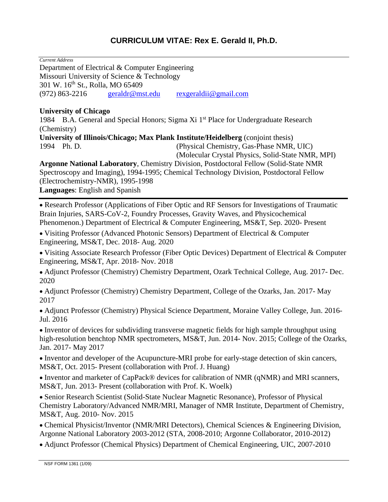## **CURRICULUM VITAE: Rex E. Gerald II, Ph.D.**

*Current Address*

Department of Electrical & Computer Engineering Missouri University of Science & Technology 301 W. 16<sup>th</sup> St., Rolla, MO 65409 (972) 863-2216 [geraldr@mst.edu](mailto:geraldr@mst.edu) [rexgeraldii@gmail.com](mailto:rexgeraldii@gmail.com)

## **University of Chicago**

1984 B.A. General and Special Honors; Sigma Xi 1<sup>st</sup> Place for Undergraduate Research (Chemistry)

**University of Illinois/Chicago; Max Plank Institute/Heidelberg** (conjoint thesis) 1994 Ph. D. (Physical Chemistry, Gas-Phase NMR, UIC) (Molecular Crystal Physics, Solid-State NMR, MPI)

**Argonne National Laboratory**, Chemistry Division, Postdoctoral Fellow (Solid-State NMR Spectroscopy and Imaging), 1994-1995; Chemical Technology Division, Postdoctoral Fellow (Electrochemistry-NMR), 1995-1998

**Languages**: English and Spanish

• Research Professor (Applications of Fiber Optic and RF Sensors for Investigations of Traumatic Brain Injuries, SARS-CoV-2, Foundry Processes, Gravity Waves, and Physicochemical Phenomenon.) Department of Electrical & Computer Engineering, MS&T, Sep. 2020- Present

• Visiting Professor (Advanced Photonic Sensors) Department of Electrical & Computer Engineering, MS&T, Dec. 2018- Aug. 2020

• Visiting Associate Research Professor (Fiber Optic Devices) Department of Electrical & Computer Engineering, MS&T, Apr. 2018- Nov. 2018

• Adjunct Professor (Chemistry) Chemistry Department, Ozark Technical College, Aug. 2017- Dec. 2020

• Adjunct Professor (Chemistry) Chemistry Department, College of the Ozarks, Jan. 2017- May 2017

• Adjunct Professor (Chemistry) Physical Science Department, Moraine Valley College, Jun. 2016- Jul. 2016

• Inventor of devices for subdividing transverse magnetic fields for high sample throughput using high-resolution benchtop NMR spectrometers, MS&T, Jun. 2014- Nov. 2015; College of the Ozarks, Jan. 2017- May 2017

• Inventor and developer of the Acupuncture-MRI probe for early-stage detection of skin cancers, MS&T, Oct. 2015- Present (collaboration with Prof. J. Huang)

• Inventor and marketer of CapPack® devices for calibration of NMR (qNMR) and MRI scanners, MS&T, Jun. 2013- Present (collaboration with Prof. K. Woelk)

• Senior Research Scientist (Solid-State Nuclear Magnetic Resonance), Professor of Physical Chemistry Laboratory/Advanced NMR/MRI, Manager of NMR Institute, Department of Chemistry, MS&T, Aug. 2010- Nov. 2015

• Chemical Physicist/Inventor (NMR/MRI Detectors), Chemical Sciences & Engineering Division, Argonne National Laboratory 2003-2012 (STA, 2008-2010; Argonne Collaborator, 2010-2012)

• Adjunct Professor (Chemical Physics) Department of Chemical Engineering, UIC, 2007-2010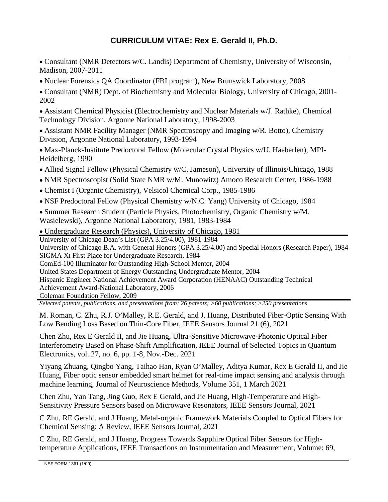- Consultant (NMR Detectors w/C. Landis) Department of Chemistry, University of Wisconsin, Madison, 2007-2011
- Nuclear Forensics QA Coordinator (FBI program), New Brunswick Laboratory, 2008
- Consultant (NMR) Dept. of Biochemistry and Molecular Biology, University of Chicago, 2001- 2002
- Assistant Chemical Physicist (Electrochemistry and Nuclear Materials w/J. Rathke), Chemical Technology Division, Argonne National Laboratory, 1998-2003
- Assistant NMR Facility Manager (NMR Spectroscopy and Imaging w/R. Botto), Chemistry Division, Argonne National Laboratory, 1993-1994
- Max-Planck-Institute Predoctoral Fellow (Molecular Crystal Physics w/U. Haeberlen), MPI-Heidelberg, 1990
- Allied Signal Fellow (Physical Chemistry w/C. Jameson), University of Illinois/Chicago, 1988
- NMR Spectroscopist (Solid State NMR w/M. Munowitz) Amoco Research Center, 1986-1988
- Chemist I (Organic Chemistry), Velsicol Chemical Corp., 1985-1986
- NSF Predoctoral Fellow (Physical Chemistry w/N.C. Yang) University of Chicago, 1984
- Summer Research Student (Particle Physics, Photochemistry, Organic Chemistry w/M. Wasielewski), Argonne National Laboratory, 1981, 1983-1984
- Undergraduate Research (Physics), University of Chicago, 1981

University of Chicago Dean's List (GPA 3.25/4.00), 1981-1984

University of Chicago B.A. with General Honors (GPA 3.25/4.00) and Special Honors (Research Paper), 1984 SIGMA XI First Place for Undergraduate Research, 1984

ComEd-100 Illuminator for Outstanding High-School Mentor, 2004

United States Department of Energy Outstanding Undergraduate Mentor, 2004

[Hispanic Engineer National](http://www.henaac.org/) [Achievement Award Corporation](http://www.henaac.org/) (HENAAC) Outstanding Technical Achievement Award-National Laboratory, 2006

Coleman Foundation Fellow, 2009

*Selected patents, publications, and presentations from: 26 patents; >60 publications; >250 presentations*

M. Roman, C. Zhu, R.J. O'Malley, R.E. Gerald, and J. Huang, Distributed Fiber-Optic Sensing With Low Bending Loss Based on Thin-Core Fiber, IEEE Sensors Journal 21 (6), 2021

Chen Zhu, Rex E Gerald II, and Jie Huang, Ultra-Sensitive Microwave-Photonic Optical Fiber Interferometry Based on Phase-Shift Amplification, IEEE Journal of Selected Topics in Quantum Electronics, vol. 27, no. 6, pp. 1-8, Nov.-Dec. 2021

Yiyang Zhuang, Qingbo Yang, Taihao Han, Ryan O'Malley, Aditya Kumar, Rex E Gerald II, and Jie Huang, Fiber optic sensor embedded smart helmet for real-time impact sensing and analysis through machine learning, Journal of Neuroscience Methods, Volume 351, 1 March 2021

Chen Zhu, Yan Tang, Jing Guo, Rex E Gerald, and Jie Huang, High-Temperature and High-Sensitivity Pressure Sensors based on Microwave Resonators, IEEE Sensors Journal, 2021

C Zhu, RE Gerald, and J Huang, Metal-organic Framework Materials Coupled to Optical Fibers for Chemical Sensing: A Review, IEEE Sensors Journal, 2021

C Zhu, RE Gerald, and J Huang, Progress Towards Sapphire Optical Fiber Sensors for Hightemperature Applications, IEEE Transactions on Instrumentation and Measurement, Volume: 69,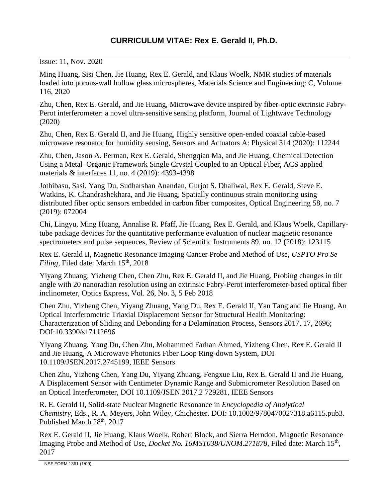Issue: 11, Nov. 2020

Ming Huang, Sisi Chen, Jie Huang, Rex E. Gerald, and Klaus Woelk, NMR studies of materials loaded into porous-wall hollow glass microspheres, Materials Science and Engineering: C, Volume 116, 2020

Zhu, Chen, Rex E. Gerald, and Jie Huang, Microwave device inspired by fiber-optic extrinsic Fabry-Perot interferometer: a novel ultra-sensitive sensing platform, Journal of Lightwave Technology (2020)

Zhu, Chen, Rex E. Gerald II, and Jie Huang, Highly sensitive open-ended coaxial cable-based microwave resonator for humidity sensing, Sensors and Actuators A: Physical 314 (2020): 112244

Zhu, Chen, Jason A. Perman, Rex E. Gerald, Shengqian Ma, and Jie Huang, Chemical Detection Using a Metal–Organic Framework Single Crystal Coupled to an Optical Fiber, ACS applied materials & interfaces 11, no. 4 (2019): 4393-4398

Jothibasu, Sasi, Yang Du, Sudharshan Anandan, Gurjot S. Dhaliwal, Rex E. Gerald, Steve E. Watkins, K. Chandrashekhara, and Jie Huang, Spatially continuous strain monitoring using distributed fiber optic sensors embedded in carbon fiber composites, Optical Engineering 58, no. 7 (2019): 072004

Chi, Lingyu, Ming Huang, Annalise R. Pfaff, Jie Huang, Rex E. Gerald, and Klaus Woelk, Capillarytube package devices for the quantitative performance evaluation of nuclear magnetic resonance spectrometers and pulse sequences, Review of Scientific Instruments 89, no. 12 (2018): 123115

Rex E. Gerald II, Magnetic Resonance Imaging Cancer Probe and Method of Use, *USPTO Pro Se Filing*, Filed date: March 15<sup>th</sup>, 2018

Yiyang Zhuang, Yizheng Chen, Chen Zhu, Rex E. Gerald II, and Jie Huang, Probing changes in tilt angle with 20 nanoradian resolution using an extrinsic Fabry-Perot interferometer-based optical fiber inclinometer, Optics Express, Vol. 26, No. 3, 5 Feb 2018

Chen Zhu, Yizheng Chen, Yiyang Zhuang, Yang Du, Rex E. Gerald II, Yan Tang and Jie Huang, An Optical Interferometric Triaxial Displacement Sensor for Structural Health Monitoring: Characterization of Sliding and Debonding for a Delamination Process, Sensors 2017, 17, 2696; DOI:10.3390/s17112696

Yiyang Zhuang, Yang Du, Chen Zhu, Mohammed Farhan Ahmed, Yizheng Chen, Rex E. Gerald II and Jie Huang, A Microwave Photonics Fiber Loop Ring-down System, DOI 10.1109/JSEN.2017.2745199, IEEE Sensors

Chen Zhu, Yizheng Chen, Yang Du, Yiyang Zhuang, Fengxue Liu, Rex E. Gerald II and Jie Huang, A Displacement Sensor with Centimeter Dynamic Range and Submicrometer Resolution Based on an Optical Interferometer, DOI 10.1109/JSEN.2017.2 729281, IEEE Sensors

R. E. Gerald II, Solid-state Nuclear Magnetic Resonance in *Encyclopedia of Analytical Chemistry*, Eds., R. A. Meyers, John Wiley, Chichester. DOI: 10.1002/9780470027318.a6115.pub3. Published March 28<sup>th</sup>, 2017

Rex E. Gerald II, Jie Huang, Klaus Woelk, Robert Block, and Sierra Herndon, Magnetic Resonance Imaging Probe and Method of Use, *Docket No. 16MST038/UNOM.271878*, Filed date: March 15<sup>th</sup>, 2017

NSF FORM 1361 (1/09)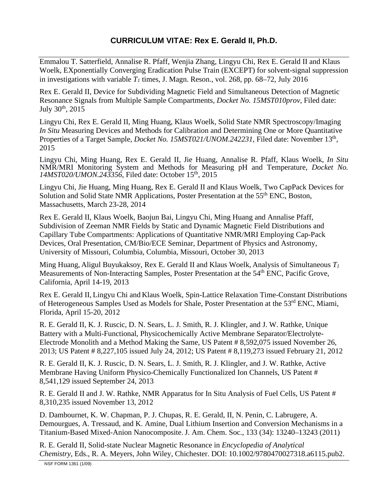Emmalou T. Satterfield, Annalise R. Pfaff, Wenjia Zhang, Lingyu Chi, Rex E. Gerald II and Klaus Woelk, EXponentially Converging Eradication Pulse Train (EXCEPT) for solvent-signal suppression in investigations with variable  $T_1$  times, J. Magn. Reson., vol. 268, pp. 68–72, July 2016

Rex E. Gerald II, Device for Subdividing Magnetic Field and Simultaneous Detection of Magnetic Resonance Signals from Multiple Sample Compartments, *Docket No. 15MST010prov*, Filed date: July 30<sup>th</sup>, 2015

Lingyu Chi, Rex E. Gerald II, Ming Huang, Klaus Woelk, Solid State NMR Spectroscopy/Imaging *In Situ* Measuring Devices and Methods for Calibration and Determining One or More Quantitative Properties of a Target Sample, *Docket No. 15MST021/UNOM.242231*, Filed date: November 13<sup>th</sup>, 2015

Lingyu Chi, Ming Huang, Rex E. Gerald II, Jie Huang, Annalise R. Pfaff, Klaus Woelk, *In Situ* NMR/MRI Monitoring System and Methods for Measuring pH and Temperature, *Docket No.*  14MST020/UMON.243356, Filed date: October 15<sup>th</sup>, 2015

Lingyu Chi, Jie Huang, Ming Huang, Rex E. Gerald II and Klaus Woelk, Two CapPack Devices for Solution and Solid State NMR Applications, Poster Presentation at the 55<sup>th</sup> ENC. Boston. Massachusetts, March 23-28, 2014

Rex E. Gerald II, Klaus Woelk, Baojun Bai, Lingyu Chi, Ming Huang and Annalise Pfaff, Subdivision of Zeeman NMR Fields by Static and Dynamic Magnetic Field Distributions and Capillary Tube Compartments: Applications of Quantitative NMR/MRI Employing Cap-Pack Devices, Oral Presentation, CM/Bio/ECE Seminar, Department of Physics and Astronomy, University of Missouri, Columbia, Columbia, Missouri, October 30, 2013

Ming Huang, Aligul Buyukaksoy, Rex E. Gerald II and Klaus Woelk, Analysis of Simultaneous *T1* Measurements of Non-Interacting Samples, Poster Presentation at the 54<sup>th</sup> ENC, Pacific Grove, California, April 14-19, 2013

Rex E. Gerald II, Lingyu Chi and Klaus Woelk, Spin-Lattice Relaxation Time-Constant Distributions of Heterogeneous Samples Used as Models for Shale, Poster Presentation at the 53<sup>rd</sup> ENC, Miami, Florida, April 15-20, 2012

R. E. Gerald II, K. J. Ruscic, D. N. Sears, L. J. Smith, R. J. Klingler, and J. W. Rathke, Unique Battery with a Multi-Functional, Physicochemically Active Membrane Separator/Electrolyte-Electrode Monolith and a Method Making the Same, US Patent # 8,592,075 issued November 26, 2013; US Patent # 8,227,105 issued July 24, 2012; US Patent # 8,119,273 issued February 21, 2012

R. E. Gerald II, K. J. Ruscic, D. N. Sears, L. J. Smith, R. J. Klingler, and J. W. Rathke, Active Membrane Having Uniform Physico-Chemically Functionalized Ion Channels, US Patent # 8,541,129 issued September 24, 2013

R. E. Gerald II and J. W. Rathke, NMR Apparatus for In Situ Analysis of Fuel Cells, US Patent # 8,310,235 issued November 13, 2012

D. Dambournet, K. W. Chapman, P. J. Chupas, R. E. Gerald, II, N. Penin, C. Labrugere, A. Demourgues, A. Tressaud, and K. Amine, Dual Lithium Insertion and Conversion Mechanisms in a Titanium-Based Mixed-Anion Nanocomposite. J. Am. Chem. Soc., 133 (34): 13240–13243 (2011)

R. E. Gerald II, Solid-state Nuclear Magnetic Resonance in *Encyclopedia of Analytical Chemistry*, Eds., R. A. Meyers, John Wiley, Chichester. DOI: 10.1002/9780470027318.a6115.pub2.

NSF FORM 1361 (1/09)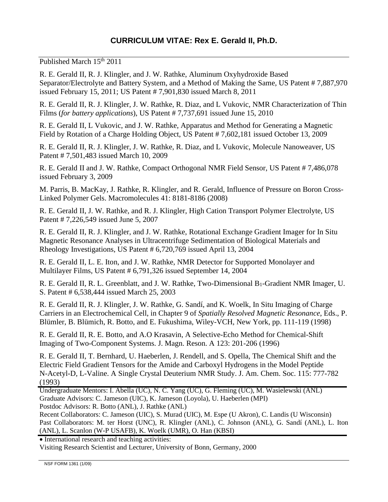Published March 15<sup>th</sup> 2011

R. E. Gerald II, R. J. Klingler, and J. W. Rathke, Aluminum Oxyhydroxide Based Separator/Electrolyte and Battery System, and a Method of Making the Same, US Patent # 7,887,970 issued February 15, 2011; US Patent # 7,901,830 issued March 8, 2011

R. E. Gerald II, R. J. Klingler, J. W. Rathke, R. Diaz, and L Vukovic, NMR Characterization of Thin Films (*for battery applications*), US Patent # 7,737,691 issued June 15, 2010

R. E. Gerald II, L Vukovic, and J. W. Rathke, Apparatus and Method for Generating a Magnetic Field by Rotation of a Charge Holding Object, US Patent # 7,602,181 issued October 13, 2009

R. E. Gerald II, R. J. Klingler, J. W. Rathke, R. Diaz, and L Vukovic, Molecule Nanoweaver, US Patent # 7,501,483 issued March 10, 2009

R. E. Gerald II and J. W. Rathke, Compact Orthogonal NMR Field Sensor, US Patent # 7,486,078 issued February 3, 2009

M. Parris, B. MacKay, J. Rathke, R. Klingler, and R. Gerald, Influence of Pressure on Boron Cross-Linked Polymer Gels. Macromolecules 41: 8181-8186 (2008)

R. E. Gerald II, J. W. Rathke, and R. J. Klingler, High Cation Transport Polymer Electrolyte, US Patent # 7,226,549 issued June 5, 2007

R. E. Gerald II, R. J. Klingler, and J. W. Rathke, Rotational Exchange Gradient Imager for In Situ Magnetic Resonance Analyses in Ultracentrifuge Sedimentation of Biological Materials and Rheology Investigations, US Patent # 6,720,769 issued April 13, 2004

R. E. Gerald II, L. E. Iton, and J. W. Rathke, NMR Detector for Supported Monolayer and Multilayer Films, US Patent # 6,791,326 issued September 14, 2004

R. E. Gerald II, R. L. Greenblatt, and J. W. Rathke, Two-Dimensional B<sub>1</sub>-Gradient NMR Imager, U. S. Patent # 6,538,444 issued March 25, 2003

R. E. Gerald II, R. J. Klingler, J. W. Rathke, G. Sandí, and K. Woelk, In Situ Imaging of Charge Carriers in an Electrochemical Cell, in Chapter 9 of *Spatially Resolved Magnetic Resonance*, Eds., P. Blümler, B. Blümich, R. Botto, and E. Fukushima, Wiley-VCH, New York, pp. 111-119 (1998)

R. E. Gerald II, R. E. Botto, and A.O Krasavin, A Selective-Echo Method for Chemical-Shift Imaging of Two-Component Systems. J. Magn. Reson. A 123: 201-206 (1996)

R. E. Gerald II, T. Bernhard, U. Haeberlen, J. Rendell, and S. Opella, The Chemical Shift and the Electric Field Gradient Tensors for the Amide and Carboxyl Hydrogens in the Model Peptide N-Acetyl-D, L-Valine. A Single Crystal Deuterium NMR Study. J. Am. Chem. Soc. 115: 777-782 (1993)

Undergraduate Mentors: I. Abella (UC), N. C. Yang (UC), G. Fleming (UC), M. Wasielewski (ANL) Graduate Advisors: C. Jameson (UIC), K. Jameson (Loyola), U. Haeberlen (MPI) Postdoc Advisors: R. Botto (ANL), J. Rathke (ANL)

Recent Collaborators: C. Jameson (UIC), S. Murad (UIC), M. Espe (U Akron), C. Landis (U Wisconsin) Past Collaborators: M. ter Horst (UNC), R. Klingler (ANL), C. Johnson (ANL), G. Sandí (ANL), L. Iton (ANL), L. Scanlon (W-P USAFB), K. Woelk (UMR), O. Han (KBSI)

• International research and teaching activities:

Visiting Research Scientist and Lecturer, University of Bonn, Germany, 2000